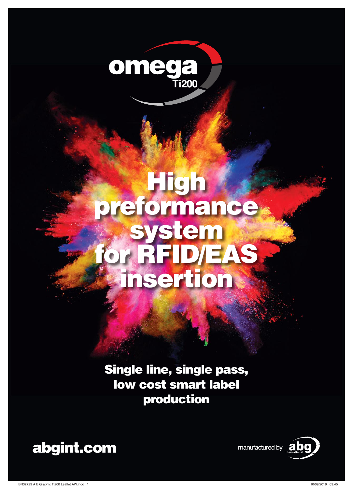

# High preformance system DIEAS insertion

Single line, single pass, low cost smart label production



manufactured by **and** 

BR32729 A B Graphic Ti200 Leaflet.AW.indd 1 10/09/2019 09:45